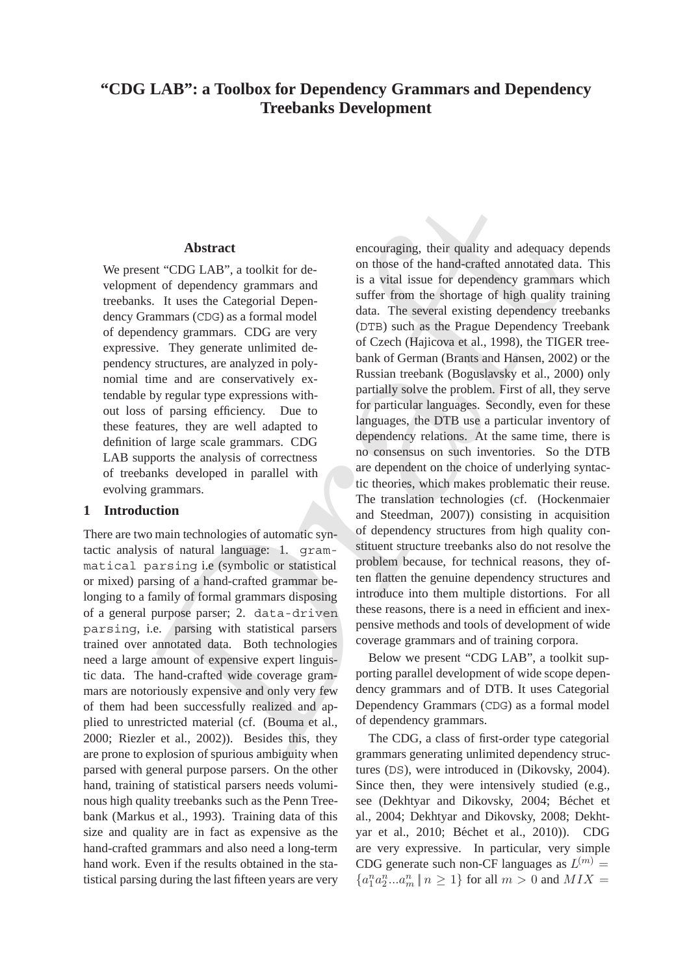# **"CDG LAB": a Toolbox for Dependency Grammars and Dependency Treebanks Development**

### **Abstract**

We present "CDG LAB", a toolkit for development of dependency grammars and treebanks. It uses the Categorial Dependency Grammars (CDG) as a formal model of dependency grammars. CDG are very expressive. They generate unlimited dependency structures, are analyzed in polynomial time and are conservatively extendable by regular type expressions without loss of parsing efficiency. Due to these features, they are well adapted to definition of large scale grammars. CDG LAB supports the analysis of correctness of treebanks developed in parallel with evolving grammars.

### **1 Introduction**

There are two main technologies of automatic syntactic analysis of natural language: 1. grammatical parsing i.e (symbolic or statistical or mixed) parsing of a hand-crafted grammar belonging to a family of formal grammars disposing of a general purpose parser; 2. data-driven parsing, i.e. parsing with statistical parsers trained over annotated data. Both technologies need a large amount of expensive expert linguistic data. The hand-crafted wide coverage grammars are notoriously expensive and only very few of them had been successfully realized and applied to unrestricted material (cf. (Bouma et al., 2000; Riezler et al., 2002)). Besides this, they are prone to explosion of spurious ambiguity when parsed with general purpose parsers. On the other hand, training of statistical parsers needs voluminous high quality treebanks such as the Penn Treebank (Markus et al., 1993). Training data of this size and quality are in fact as expensive as the hand-crafted grammars and also need a long-term hand work. Even if the results obtained in the statistical parsing during the last fifteen years are very

**Abstract**<br> **Abstract**<br> **CHOTELAB"**, a toolki for de-<br>
on these of the hand-craited annotined data are from the Shorta content of dependency grammars and<br>
say wind issue for dependency grammars. CDG are content of the suf encouraging, their quality and adequacy depends on those of the hand-crafted annotated data. This is a vital issue for dependency grammars which suffer from the shortage of high quality training data. The several existing dependency treebanks (DTB) such as the Prague Dependency Treebank of Czech (Hajicova et al., 1998), the TIGER treebank of German (Brants and Hansen, 2002) or the Russian treebank (Boguslavsky et al., 2000) only partially solve the problem. First of all, they serve for particular languages. Secondly, even for these languages, the DTB use a particular inventory of dependency relations. At the same time, there is no consensus on such inventories. So the DTB are dependent on the choice of underlying syntactic theories, which makes problematic their reuse. The translation technologies (cf. (Hockenmaier and Steedman, 2007)) consisting in acquisition of dependency structures from high quality constituent structure treebanks also do not resolve the problem because, for technical reasons, they often flatten the genuine dependency structures and introduce into them multiple distortions. For all these reasons, there is a need in efficient and inexpensive methods and tools of development of wide coverage grammars and of training corpora.

Below we present "CDG LAB", a toolkit supporting parallel development of wide scope dependency grammars and of DTB. It uses Categorial Dependency Grammars (CDG) as a formal model of dependency grammars.

The CDG, a class of first-order type categorial grammars generating unlimited dependency structures (DS), were introduced in (Dikovsky, 2004). Since then, they were intensively studied (e.g., see (Dekhtyar and Dikovsky, 2004; Béchet et al., 2004; Dekhtyar and Dikovsky, 2008; Dekhtvar et al., 2010: Béchet et al., 2010)). CDG are very expressive. In particular, very simple CDG generate such non-CF languages as  $L^{(m)}$  =  ${a_1^n a_2^n ... a_m^n \mid n \ge 1}$  for all  $m > 0$  and  $MIX =$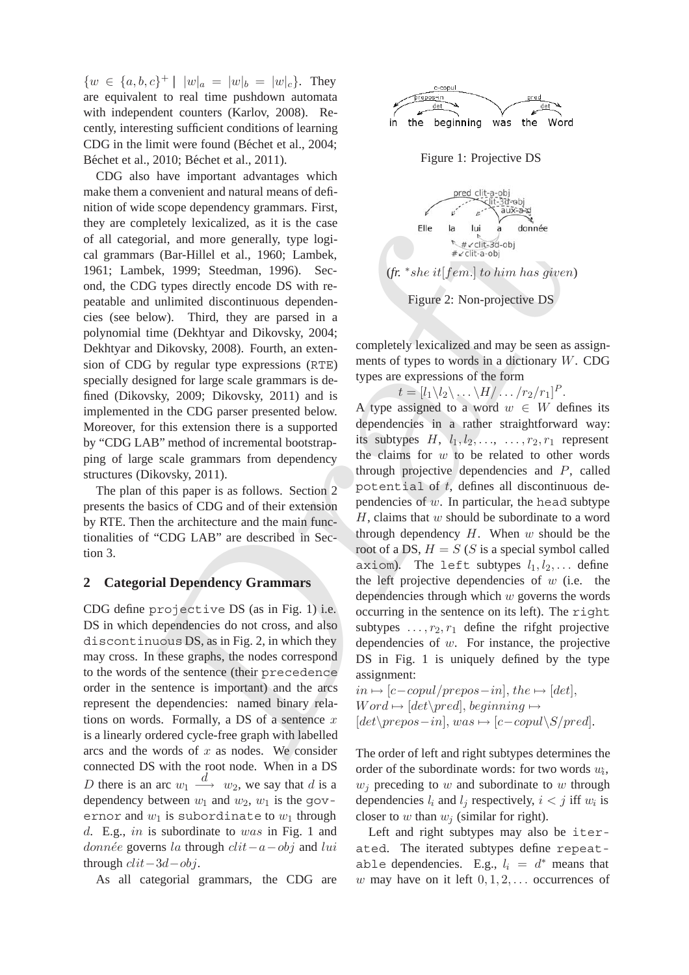$\{w \in \{a, b, c\}^+ \mid |w|_a = |w|_b = |w|_c\}.$  They are equivalent to real time pushdown automata with independent counters (Karlov, 2008). Recently, interesting sufficient conditions of learning CDG in the limit were found (Béchet et al., 2004; Béchet et al., 2010; Béchet et al., 2011).

CDG also have important advantages which make them a convenient and natural means of definition of wide scope dependency grammars. First, they are completely lexicalized, as it is the case of all categorial, and more generally, type logical grammars (Bar-Hillel et al., 1960; Lambek, 1961; Lambek, 1999; Steedman, 1996). Second, the CDG types directly encode DS with repeatable and unlimited discontinuous dependencies (see below). Third, they are parsed in a polynomial time (Dekhtyar and Dikovsky, 2004; Dekhtyar and Dikovsky, 2008). Fourth, an extension of CDG by regular type expressions (RTE) specially designed for large scale grammars is defined (Dikovsky, 2009; Dikovsky, 2011) and is implemented in the CDG parser presented below. Moreover, for this extension there is a supported by "CDG LAB" method of incremental bootstrapping of large scale grammars from dependency structures (Dikovsky, 2011).

The plan of this paper is as follows. Section 2 presents the basics of CDG and of their extension by RTE. Then the architecture and the main functionalities of "CDG LAB" are described in Section 3.

### **2 Categorial Dependency Grammars**

CDG define projective DS (as in Fig. 1) i.e. DS in which dependencies do not cross, and also discontinuous DS, as in Fig. 2, in which they may cross. In these graphs, the nodes correspond to the words of the sentence (their precedence order in the sentence is important) and the arcs represent the dependencies: named binary relations on words. Formally, a DS of a sentence  $x$ is a linearly ordered cycle-free graph with labelled arcs and the words of  $x$  as nodes. We consider connected DS with the root node. When in a DS D there is an arc  $w_1 \stackrel{d}{\longrightarrow} w_2$ , we say that d is a dependency between  $w_1$  and  $w_2$ ,  $w_1$  is the governor and  $w_1$  is subordinate to  $w_1$  through d. E.g., in is subordinate to was in Fig. 1 and donnée governs la through  $clit-a-obj$  and lui through  $clit-3d-obj$ .

As all categorial grammars, the CDG are



completely lexicalized and may be seen as assignments of types to words in a dictionary W. CDG types are expressions of the form

 $t=[l_1\backslash l_2\backslash \ldots \backslash H/\ldots/r_2/r_1]^P.$ 

Convention at mathematic means to the consequence of the properties of the stationary ordination of the consequence of the stationary condition of the consequence of the stationary ordination of the stationary ordination A type assigned to a word  $w \in W$  defines its dependencies in a rather straightforward way: its subtypes  $H$ ,  $l_1, l_2, \ldots, \ldots, r_2, r_1$  represent the claims for  $w$  to be related to other words through projective dependencies and P, called potential of  $t$ , defines all discontinuous dependencies of  $w$ . In particular, the head subtype  $H$ , claims that  $w$  should be subordinate to a word through dependency  $H$ . When  $w$  should be the root of a DS,  $H = S(S)$  is a special symbol called axiom). The left subtypes  $l_1, l_2, \ldots$  define the left projective dependencies of  $w$  (i.e. the dependencies through which  $w$  governs the words occurring in the sentence on its left). The right subtypes  $\dots, r_2, r_1$  define the rifght projective dependencies of w. For instance, the projective DS in Fig. 1 is uniquely defined by the type assignment:

$$
in \mapsto [c-copul/prepos-in], the \mapsto [det],
$$
  
 
$$
Word \mapsto [det\backslash pred], beginning \mapsto
$$
  
 
$$
[det\backslash prepos-in], was \mapsto [c-copul\backslash S/pred].
$$

The order of left and right subtypes determines the order of the subordinate words: for two words w*i*,  $w_i$  preceding to w and subordinate to w through dependencies  $l_i$  and  $l_j$  respectively,  $i < j$  iff  $w_i$  is closer to  $w$  than  $w_j$  (similar for right).

Left and right subtypes may also be iterated. The iterated subtypes define repeatable dependencies. E.g.,  $l_i = d^*$  means that w may have on it left  $0, 1, 2, \ldots$  occurrences of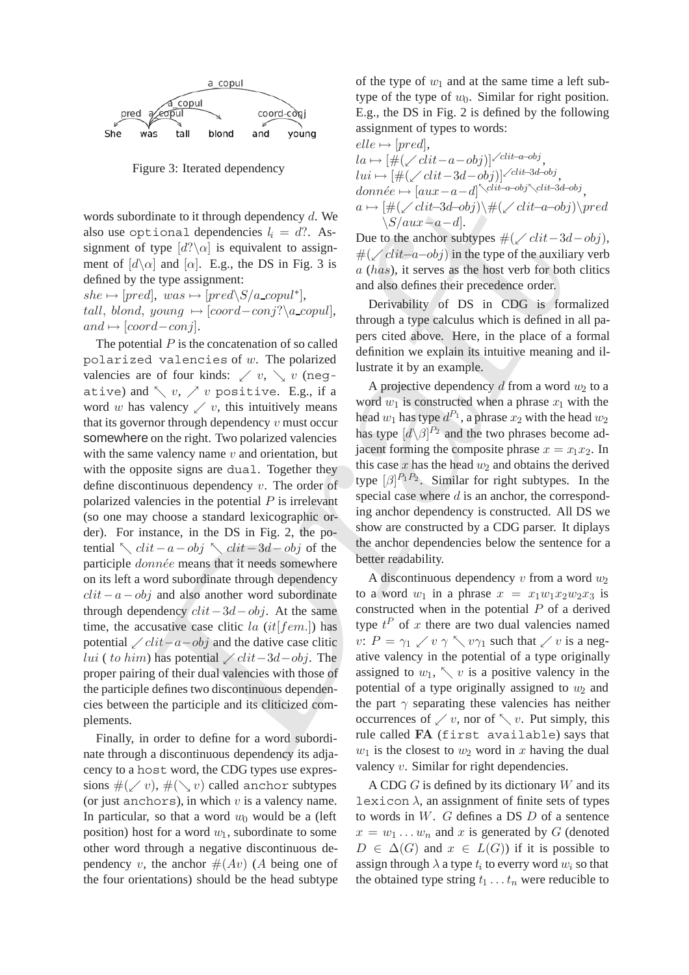

Figure 3: Iterated dependency

words subordinate to it through dependency d. We also use optional dependencies  $l_i = d$ ?. Assignment of type  $[d?\setminus \alpha]$  is equivalent to assignment of  $\left[ d \backslash \alpha \right]$  and  $\left[ \alpha \right]$ . E.g., the DS in Fig. 3 is defined by the type assignment:  $she \mapsto [pred], \text{ was } \mapsto [pred \backslash S/a\_copul^*],$ 

tall, blond, young  $\mapsto$  [coord–conj?\a\_copul],  $and \mapsto [coord - conj].$ 

of this term dependency d. We absorb  $\frac{d\phi_{\text{eff}}}{dt} \times \frac{d\phi_{\text{eff}}}{dt} \times \frac{d\phi_{\text{eff}}}{dt} \times \frac{d\phi_{\text{eff}}}{dt} \times \frac{d\phi_{\text{eff}}}{dt} \times \frac{d\phi_{\text{eff}}}{dt} \times \frac{d\phi_{\text{eff}}}{dt} \times \frac{d\phi_{\text{eff}}}{dt} \times \frac{d\phi_{\text{eff}}}{dt} \times \frac{d\phi_{\text{eff}}}{dt} \times \frac{d\phi_{\text{eff}}}{$ The potential  $P$  is the concatenation of so called polarized valencies of w. The polarized valencies are of four kinds:  $\swarrow v$ ,  $\searrow v$  (negative) and  $\searrow v$ ,  $\nearrow v$  positive. E.g., if a word w has valency  $\swarrow v$ , this intuitively means that its governor through dependency  $v$  must occur somewhere on the right. Two polarized valencies with the same valency name  $v$  and orientation, but with the opposite signs are dual. Together they define discontinuous dependency v. The order of polarized valencies in the potential  $P$  is irrelevant (so one may choose a standard lexicographic order). For instance, in the DS in Fig. 2, the potential  $\setminus$  *clit* − a − obj  $\setminus$  *clit* − 3d − obj of the participle  $donnée$  means that it needs somewhere on its left a word subordinate through dependency  $clit-a-obj$  and also another word subordinate through dependency  $clit-3d-obj$ . At the same time, the accusative case clitic  $la (it[fem.])$  has potential  $\angle$  clit−a−obj and the dative case clitic *lui* ( to him) has potential  $\angle$  clit−3d−obj. The proper pairing of their dual valencies with those of the participle defines two discontinuous dependencies between the participle and its cliticized complements.

Finally, in order to define for a word subordinate through a discontinuous dependency its adjacency to a host word, the CDG types use expressions  $\#(\swarrow v), \#(\searrow v)$  called anchor subtypes (or just anchors), in which  $v$  is a valency name. In particular, so that a word  $w_0$  would be a (left position) host for a word  $w_1$ , subordinate to some other word through a negative discontinuous dependency v, the anchor  $#(Av)$  (A being one of the four orientations) should be the head subtype of the type of  $w_1$  and at the same time a left subtype of the type of  $w_0$ . Similar for right position. E.g., the DS in Fig. 2 is defined by the following assignment of types to words:

$$
elle \mapsto [pred],\nla \mapsto [\#(\swarrow clit - a - obj)]^{\swarrow clit - a - obj},\nlui \mapsto [\#(\swarrow clit - 3d - obj)]^{\swarrow clit - 3d - obj},\ndonnée \mapsto [aux - a - d]^{\swarrow clit - a - obj}^{\swarrow clit - 3d - obj},\na \mapsto [\#(\swarrow clit - 3d - obj) \#(\swarrow clit - a - obj) \pred\n\swarrow S/aux - a - d].
$$

Due to the anchor subtypes  $\#(\angle \text{clit}-3d-\text{obj})$ ,  $\#(\angle \text{clit} - a - \text{obj})$  in the type of the auxiliary verb a (has), it serves as the host verb for both clitics and also defines their precedence order.

Derivability of DS in CDG is formalized through a type calculus which is defined in all papers cited above. Here, in the place of a formal definition we explain its intuitive meaning and illustrate it by an example.

A projective dependency  $d$  from a word  $w_2$  to a word  $w_1$  is constructed when a phrase  $x_1$  with the head  $w_1$  has type  $d^{P_1}$ , a phrase  $x_2$  with the head  $w_2$ has type  $\left[d\sqrt{\beta}\right]^{P_2}$  and the two phrases become adjacent forming the composite phrase  $x = x_1x_2$ . In this case x has the head  $w_2$  and obtains the derived type  $\left[\beta\right]^{P_1 P_2}$ . Similar for right subtypes. In the special case where  $d$  is an anchor, the corresponding anchor dependency is constructed. All DS we show are constructed by a CDG parser. It diplays the anchor dependencies below the sentence for a better readability.

A discontinuous dependency  $v$  from a word  $w_2$ to a word  $w_1$  in a phrase  $x = x_1w_1x_2w_2x_3$  is constructed when in the potential  $P$  of a derived type  $t^P$  of x there are two dual valencies named v:  $P = \gamma_1 \swarrow v \gamma \nwarrow v \gamma_1$  such that  $\swarrow v$  is a negative valency in the potential of a type originally assigned to  $w_1$ ,  $\searrow v$  is a positive valency in the potential of a type originally assigned to  $w_2$  and the part  $\gamma$  separating these valencies has neither occurrences of  $\swarrow v$ , nor of  $\searrow v$ . Put simply, this rule called **FA** (first available) says that  $w_1$  is the closest to  $w_2$  word in x having the dual valency v. Similar for right dependencies.

A CDG  $G$  is defined by its dictionary  $W$  and its lexicon  $λ$ , an assignment of finite sets of types to words in  $W$ .  $G$  defines a DS  $D$  of a sentence  $x = w_1 \dots w_n$  and x is generated by G (denoted  $D \in \Delta(G)$  and  $x \in L(G)$ ) if it is possible to assign through  $\lambda$  a type  $t_i$  to everry word  $w_i$  so that the obtained type string  $t_1 \ldots t_n$  were reducible to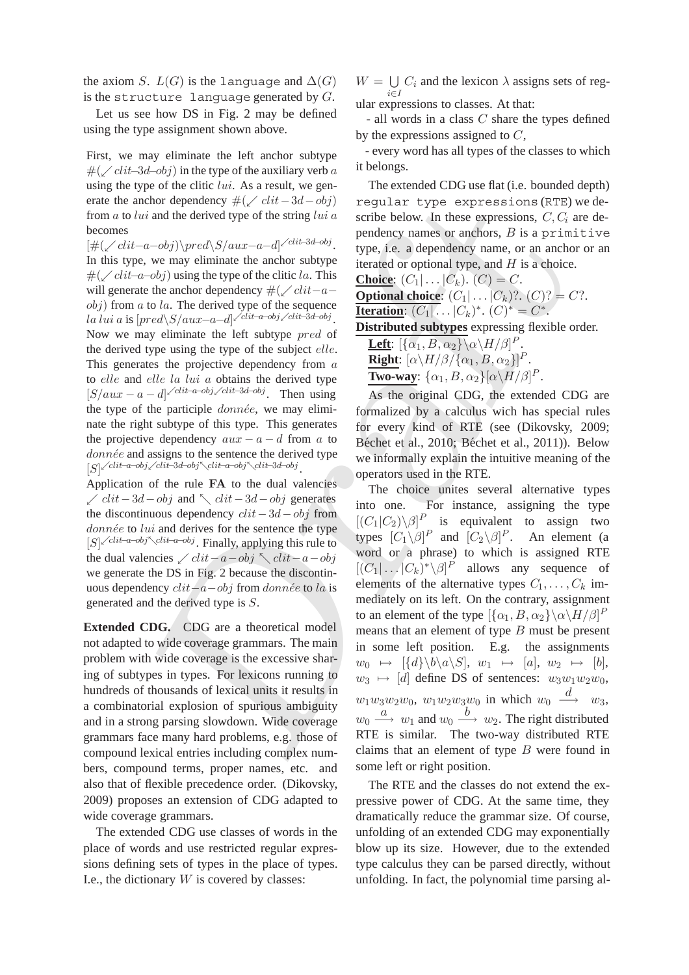the axiom S.  $L(G)$  is the language and  $\Delta(G)$ is the structure language generated by  $G$ .

Let us see how DS in Fig. 2 may be defined using the type assignment shown above.

First, we may eliminate the left anchor subtype  $\#(\angle \text{clit}-3d-obj)$  in the type of the auxiliary verb a using the type of the clitic  $lui$ . As a result, we generate the anchor dependency  $#(\angle \text{clit}-3d-\text{obj})$ from  $a$  to *lui* and the derived type of the string *lui*  $a$ becomes

 $[\#(\angle \text{clit} - a - obj) \perp \text{cl} \triangle \text{clat} - a - d] \angle \text{clit} - 3d - obj.$ In this type, we may eliminate the anchor subtype  $\#(\angle \text{clit}$ − $a$ − $obj)$  using the type of the clitic la. This will generate the anchor dependency  $#(\angle \text{clit}-a$  $obj)$  from a to la. The derived type of the sequence  $la$ *la lui a* is  $[pred\Bigr\setminus S/aux-a-d\Bigr]$ <sup> $\angle$ clit–a–obj $\angle$ clit–3*d*–obj.</sup> Now we may eliminate the left subtype pred of the derived type using the type of the subject elle. This generates the projective dependency from a to elle and elle la lui a obtains the derived type  $[S/aux - a - d]$ <sup> $\angle$ clit–a– $obj\angle$ clit–3*d*– $obj$ . Then using</sup> the type of the participle  $donnée$ , we may eliminate the right subtype of this type. This generates the projective dependency  $aux - a - d$  from a to  $donn\acute{e}e$  and assigns to the sentence the derived type [S] -*clit*−*a*−*obj*-*clit*−3*d*−*objclit*−*a*−*objclit*−3*d*−*obj* .

Application of the rule **FA** to the dual valencies  $\angle$  clit −3d − obj and  $\diagdown$  clit −3d − obj generates the discontinuous dependency  $clit-3d-obj$  from  $donn\acute{e}e$  to *lui* and derives for the sentence the type [S] -*clit*−*a*−*objclit*−*a*−*obj* . Finally, applying this rule to the dual valencies  $\angle$  clit−a−obj  $\diagdown$  clit−a−obj we generate the DS in Fig. 2 because the discontinuous dependency *clit−a−obj* from *donnée* to la is generated and the derived type is S.

**Extended CDG.** CDG are a theoretical model not adapted to wide coverage grammars. The main problem with wide coverage is the excessive sharing of subtypes in types. For lexicons running to hundreds of thousands of lexical units it results in a combinatorial explosion of spurious ambiguity and in a strong parsing slowdown. Wide coverage grammars face many hard problems, e.g. those of compound lexical entries including complex numbers, compound terms, proper names, etc. and also that of flexible precedence order. (Dikovsky, 2009) proposes an extension of CDG adapted to wide coverage grammars.

The extended CDG use classes of words in the place of words and use restricted regular expressions defining sets of types in the place of types. I.e., the dictionary  $W$  is covered by classes:

 $W = \bigcup C_i$  and the lexicon  $\lambda$  assigns sets of reg*i*∈*I* ular expressions to classes. At that:

- all words in a class C share the types defined by the expressions assigned to  $C$ ,

- every word has all types of the classes to which it belongs.

The extended CDG use flat (i.e. bounded depth) regular type expressions (RTE) we describe below. In these expressions, C, C*i* are dependency names or anchors,  $B$  is a primitive type, i.e. a dependency name, or an anchor or an iterated or optional type, and  $H$  is a choice.

**Choice**:  $(C_1 | ... | C_k)$ .  $(C) = C$ . **Optional choice:**  $(C_1 | ... | C_k)$ ?.  $(C)$ ? = C?. **Iteration**:  $(C_1 | \ldots | C_k)^*$ .  $(C)^* = C^*$ . **Distributed subtypes** expressing flexible order.

Left:  $[\{\alpha_1, B, \alpha_2\} \overline{\setminus} \alpha \overline{\setminus} H/\beta]^P$ . **Right**:  $[\alpha \backslash H/\beta / {\alpha_1, B, \alpha_2}]^P$ . **Two-way**:  $\{\alpha_1, B, \alpha_2\} [\alpha \backslash H/\beta]^P$ .

As the original CDG, the extended CDG are formalized by a calculus wich has special rules for every kind of RTE (see (Dikovsky, 2009; Béchet et al., 2010; Béchet et al., 2011)). Below we informally explain the intuitive meaning of the operators used in the RTE.

nchor dependency  $\#(\swarrow \text{dir-3d} - \phi_1)$  regular type expressions (RTE)<br>
and the derived type of the string ltni a scribe below. In these expressions,  $G, G, G$ <br>  $-\phi_0$ )) were  $\sqrt{2}/a\mu x - a - d/\sqrt{4a^2a\sigma\omega y}$ . Denotency sames or The choice unites several alternative types into one. For instance, assigning the type  $[(C_1|C_2)\backslash\beta]^P$  is equivalent to assign two types  $[C_1 \setminus \beta]^P$  and  $[C_2 \setminus \beta]^P$ . An element (a word or a phrase) to which is assigned RTE  $[(C_1|\dots|C_k)*\setminus\beta]^P$  allows any sequence of elements of the alternative types  $C_1, \ldots, C_k$  immediately on its left. On the contrary, assignment to an element of the type  $[\{\alpha_1, B, \alpha_2\} \setminus \alpha \setminus H/\beta]^P$ means that an element of type  $B$  must be present in some left position. E.g. the assignments  $w_0 \ \mapsto \ [ \{d\} \backslash b \backslash a \backslash S ], \ w_1 \ \mapsto \ [a], \ w_2 \ \mapsto \ [b],$  $w_3 \mapsto [d]$  define DS of sentences:  $w_3w_1w_2w_0$ ,  $w_1w_3w_2w_0$ ,  $w_1w_2w_3w_0$  in which  $w_0 \stackrel{d}{\longrightarrow} w_3$ ,  $w_0 \stackrel{a}{\longrightarrow} w_1$  and  $w_0 \stackrel{b}{\longrightarrow} w_2$ . The right distributed RTE is similar. The two-way distributed RTE claims that an element of type  $B$  were found in some left or right position.

> The RTE and the classes do not extend the expressive power of CDG. At the same time, they dramatically reduce the grammar size. Of course, unfolding of an extended CDG may exponentially blow up its size. However, due to the extended type calculus they can be parsed directly, without unfolding. In fact, the polynomial time parsing al-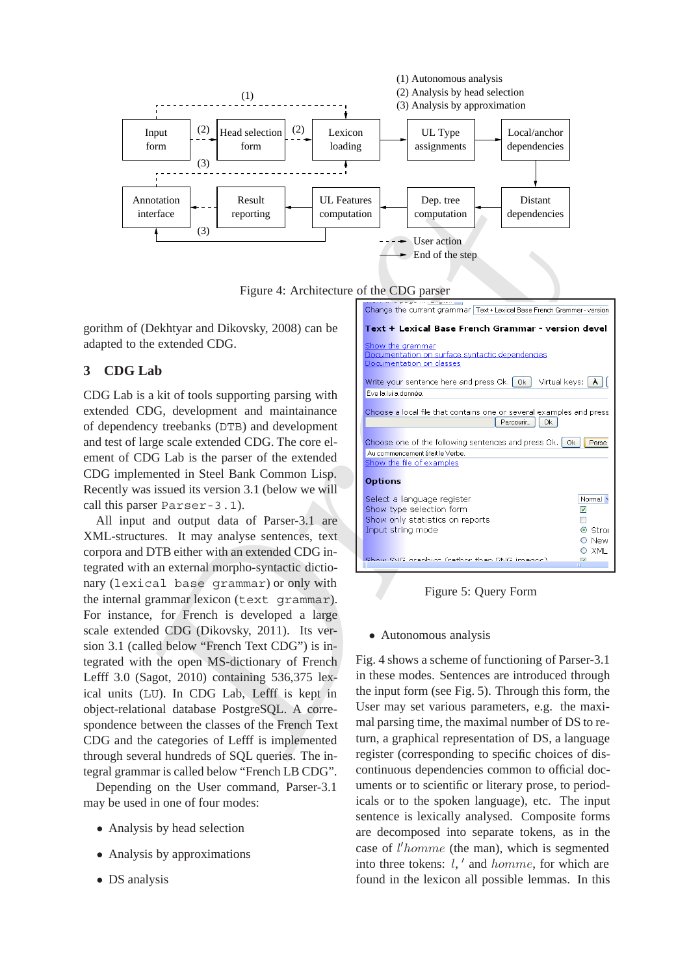

Figure 4: Architecture of the CDG parser

gorithm of (Dekhtyar and Dikovsky, 2008) can be adapted to the extended CDG.

# **3 CDG Lab**

CDG Lab is a kit of tools supporting parsing with extended CDG, development and maintainance of dependency treebanks (DTB) and development and test of large scale extended CDG. The core element of CDG Lab is the parser of the extended CDG implemented in Steel Bank Common Lisp. Recently was issued its version 3.1 (below we will call this parser Parser-3.1).

All input and output data of Parser-3.1 are XML-structures. It may analyse sentences, text corpora and DTB either with an extended CDG integrated with an external morpho-syntactic dictionary (lexical base grammar) or only with the internal grammar lexicon (text grammar). For instance, for French is developed a large scale extended CDG (Dikovsky, 2011). Its version 3.1 (called below "French Text CDG") is integrated with the open MS-dictionary of French Lefff 3.0 (Sagot, 2010) containing 536,375 lexical units (LU). In CDG Lab, Lefff is kept in object-relational database PostgreSQL. A correspondence between the classes of the French Text CDG and the categories of Lefff is implemented through several hundreds of SQL queries. The integral grammar is called below "French LB CDG".

Depending on the User command, Parser-3.1 may be used in one of four modes:

- Analysis by head selection
- Analysis by approximations
- DS analysis



Figure 5: Query Form

## • Autonomous analysis

Fig. 4 shows a scheme of functioning of Parser-3.1 in these modes. Sentences are introduced through the input form (see Fig. 5). Through this form, the User may set various parameters, e.g. the maximal parsing time, the maximal number of DS to return, a graphical representation of DS, a language register (corresponding to specific choices of discontinuous dependencies common to official documents or to scientific or literary prose, to periodicals or to the spoken language), etc. The input sentence is lexically analysed. Composite forms are decomposed into separate tokens, as in the case of  $l'homme$  (the man), which is segmented into three tokens:  $l$ ,  $'$  and  $homme$ , for which are found in the lexicon all possible lemmas. In this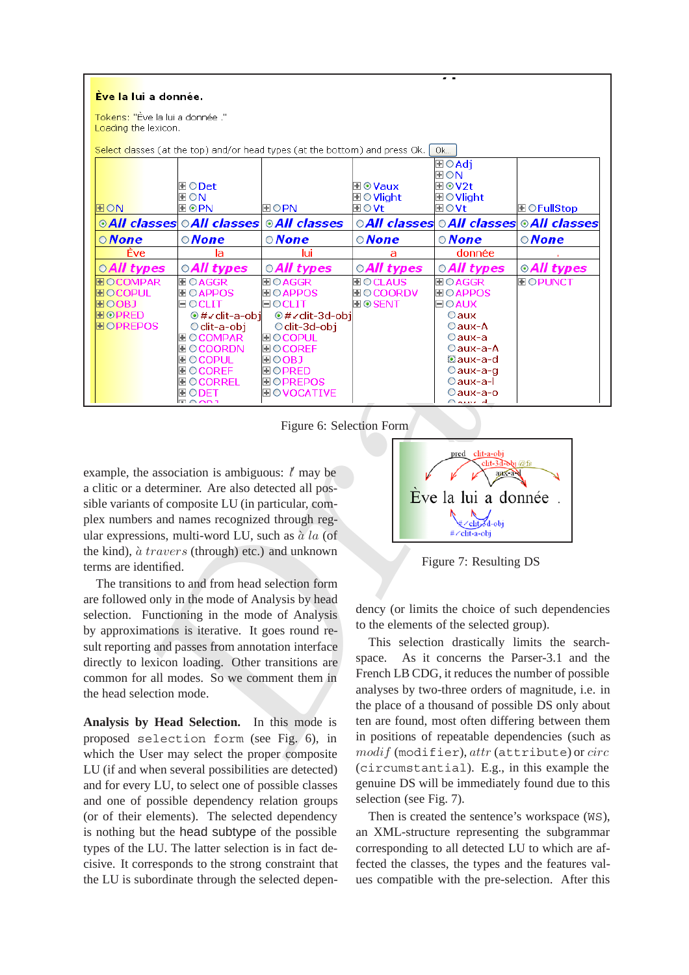|                                                                                                            | Eve la lui a donnée.                                                                       |                                                 |                                              |                                                                                                        |                                     |                                                   |  |  |  |  |
|------------------------------------------------------------------------------------------------------------|--------------------------------------------------------------------------------------------|-------------------------------------------------|----------------------------------------------|--------------------------------------------------------------------------------------------------------|-------------------------------------|---------------------------------------------------|--|--|--|--|
|                                                                                                            | Tokens: "Ève la lui a donnée ."<br>Loading the lexicon.                                    |                                                 |                                              |                                                                                                        |                                     |                                                   |  |  |  |  |
|                                                                                                            | Select classes (at the top) and/or head types (at the bottom) and press Ok.<br>Ok          |                                                 |                                              |                                                                                                        |                                     |                                                   |  |  |  |  |
|                                                                                                            |                                                                                            |                                                 |                                              | ⊞ ⊙ Adj                                                                                                |                                     |                                                   |  |  |  |  |
|                                                                                                            |                                                                                            |                                                 |                                              |                                                                                                        | EON                                 |                                                   |  |  |  |  |
|                                                                                                            |                                                                                            | $\boxplus$ $\odot$ Det<br>EON                   |                                              | ⊞⊛Vaux<br>$\boxplus$ $\odot$ Vlight                                                                    | l⊞ ® V2t<br>$\boxplus \odot$ Vliaht |                                                   |  |  |  |  |
|                                                                                                            | EON                                                                                        | ⊞⊙PN                                            | EOPN                                         | ⊞⊙Vt                                                                                                   | ⊞⊙Vt                                | <b>⊞ ○ FullStop</b>                               |  |  |  |  |
|                                                                                                            |                                                                                            | ⊙All classes ⊙All classes                       | <b>All classes</b>                           | <b>OAll classes</b>                                                                                    | <b>OAll classes</b>                 | <b>®All classes</b>                               |  |  |  |  |
|                                                                                                            | <b>ONone</b>                                                                               | © None                                          | © None                                       | © None                                                                                                 | $\circ$ None                        | ⊙None                                             |  |  |  |  |
|                                                                                                            | Ève                                                                                        | la                                              | lui                                          | a                                                                                                      | donnée                              |                                                   |  |  |  |  |
|                                                                                                            | <b>OAll types</b>                                                                          | <b>All types</b>                                | All types                                    | <b>All types</b>                                                                                       | ©All types                          | ⊙All types                                        |  |  |  |  |
|                                                                                                            | <b>⊞</b> ○COMPAR<br>⊞○COPUL                                                                | ⊞ O AGGR<br>$E$ $O$ APPOS                       | ∓ O AGGR<br>⊞⊙APPOS                          | <b>E</b> O CLAUS<br>⊞⊙COORDV                                                                           | <b>EIOAGGR</b><br><b>EIO APPOS</b>  | ⊞⊙PUNCT                                           |  |  |  |  |
|                                                                                                            | <b>HOOBJ</b>                                                                               | FIOCI IT                                        | $\boxminus$ OCLIT                            | l∓I⊚SFNT                                                                                               | $\boxminus$ $\cap$ AUX              |                                                   |  |  |  |  |
|                                                                                                            | ⊞⊙PRED<br>⊞ OPREPOS                                                                        | <sup>⊙#</sup> ∠ clit-a-obil<br>O clit-a-obj     | <sup>⊙#</sup> ∠ clit-3d-obi<br>O clit-3d-obj |                                                                                                        | 0 aux<br>Oaux-A                     |                                                   |  |  |  |  |
|                                                                                                            |                                                                                            | l⊞ O COMPAR                                     | ∓I O COPUI                                   |                                                                                                        | ⊙aux-a                              |                                                   |  |  |  |  |
|                                                                                                            |                                                                                            | E O COORDN<br>⊞ O COPUL                         | $\boxplus \circ$ COREF<br>∓IOOB]             |                                                                                                        | Oaux-a-A<br>®aux-a-d                |                                                   |  |  |  |  |
|                                                                                                            |                                                                                            | ⊞⊙COREF                                         | ⊞ OPRED                                      |                                                                                                        | Oaux-a-q                            |                                                   |  |  |  |  |
|                                                                                                            |                                                                                            | FIOCORREL<br>l⊞ O DET                           | ⊞⊙PREPOS<br>$\boxplus \odot$ VOCATIVE        |                                                                                                        | 0 aux-a-l<br>Oaux-a-o               |                                                   |  |  |  |  |
|                                                                                                            |                                                                                            | $\Box \triangle \Box$                           |                                              |                                                                                                        | اصتمان ک                            |                                                   |  |  |  |  |
|                                                                                                            |                                                                                            |                                                 |                                              |                                                                                                        |                                     |                                                   |  |  |  |  |
|                                                                                                            |                                                                                            |                                                 | Figure 6: Selection Form                     |                                                                                                        |                                     |                                                   |  |  |  |  |
|                                                                                                            |                                                                                            |                                                 |                                              |                                                                                                        | pred clit-a-obj                     |                                                   |  |  |  |  |
|                                                                                                            |                                                                                            |                                                 |                                              | clit-3d-obj $\omega$ fs<br>aux-a-y                                                                     |                                     |                                                   |  |  |  |  |
| example, the association is ambiguous: $l'$ may be<br>a clitic or a determiner. Are also detected all pos- |                                                                                            |                                                 |                                              |                                                                                                        |                                     |                                                   |  |  |  |  |
| Eve la lui a donnée<br>sible variants of composite LU (in particular, com-                                 |                                                                                            |                                                 |                                              |                                                                                                        |                                     |                                                   |  |  |  |  |
| plex numbers and names recognized through reg-<br>clit-8d-obi                                              |                                                                                            |                                                 |                                              |                                                                                                        |                                     |                                                   |  |  |  |  |
| # clit-a-obi<br>ular expressions, multi-word LU, such as $\hat{a}$ la (of                                  |                                                                                            |                                                 |                                              |                                                                                                        |                                     |                                                   |  |  |  |  |
|                                                                                                            | the kind), à travers (through) etc.) and unknown                                           |                                                 |                                              |                                                                                                        |                                     |                                                   |  |  |  |  |
|                                                                                                            | terms are identified.                                                                      |                                                 |                                              |                                                                                                        | Figure 7: Resulting DS              |                                                   |  |  |  |  |
|                                                                                                            |                                                                                            | The transitions to and from head selection form |                                              |                                                                                                        |                                     |                                                   |  |  |  |  |
|                                                                                                            | are followed only in the mode of Analysis by head                                          |                                                 |                                              |                                                                                                        |                                     |                                                   |  |  |  |  |
|                                                                                                            | selection. Functioning in the mode of Analysis                                             |                                                 |                                              | dency (or limits the choice of such dependencies                                                       |                                     |                                                   |  |  |  |  |
|                                                                                                            | by approximations is iterative. It goes round re-                                          |                                                 |                                              | to the elements of the selected group).                                                                |                                     |                                                   |  |  |  |  |
|                                                                                                            | sult reporting and passes from annotation interface                                        |                                                 |                                              | This selection drastically limits the search-<br>As it concerns the Parser-3.1 and the                 |                                     |                                                   |  |  |  |  |
|                                                                                                            | directly to lexicon loading. Other transitions are                                         |                                                 |                                              | space.                                                                                                 |                                     |                                                   |  |  |  |  |
|                                                                                                            | common for all modes. So we comment them in                                                |                                                 |                                              | French LB CDG, it reduces the number of possible<br>analyses by two-three orders of magnitude, i.e. in |                                     |                                                   |  |  |  |  |
|                                                                                                            | the head selection mode.                                                                   |                                                 |                                              |                                                                                                        |                                     | the place of a thousand of possible DS only about |  |  |  |  |
|                                                                                                            |                                                                                            |                                                 |                                              |                                                                                                        |                                     | ten are found, most often differing between them  |  |  |  |  |
|                                                                                                            | Analysis by Head Selection. In this mode is                                                |                                                 |                                              |                                                                                                        |                                     | in positions of repeatable dependencies (such as  |  |  |  |  |
|                                                                                                            | proposed selection form (see Fig. 6), in<br>which the User may select the proper composite |                                                 |                                              |                                                                                                        |                                     | $modif$ (modifier), $attr$ (attribute) or $circ$  |  |  |  |  |
|                                                                                                            |                                                                                            |                                                 |                                              |                                                                                                        |                                     |                                                   |  |  |  |  |

**Analysis by Head Selection.** In this mode is proposed selection form (see Fig. 6), in which the User may select the proper composite LU (if and when several possibilities are detected) and for every LU, to select one of possible classes and one of possible dependency relation groups (or of their elements). The selected dependency is nothing but the head subtype of the possible types of the LU. The latter selection is in fact decisive. It corresponds to the strong constraint that the LU is subordinate through the selected depen-



Figure 7: Resulting DS

This selection drastically limits the searchspace. As it concerns the Parser-3.1 and the French LB CDG, it reduces the number of possible analyses by two-three orders of magnitude, i.e. in the place of a thousand of possible DS only about ten are found, most often differing between them in positions of repeatable dependencies (such as  $modif$  (modifier),  $attr$  (attribute) or  $circ$ (circumstantial). E.g., in this example the genuine DS will be immediately found due to this selection (see Fig. 7).

Then is created the sentence's workspace (WS), an XML-structure representing the subgrammar corresponding to all detected LU to which are affected the classes, the types and the features values compatible with the pre-selection. After this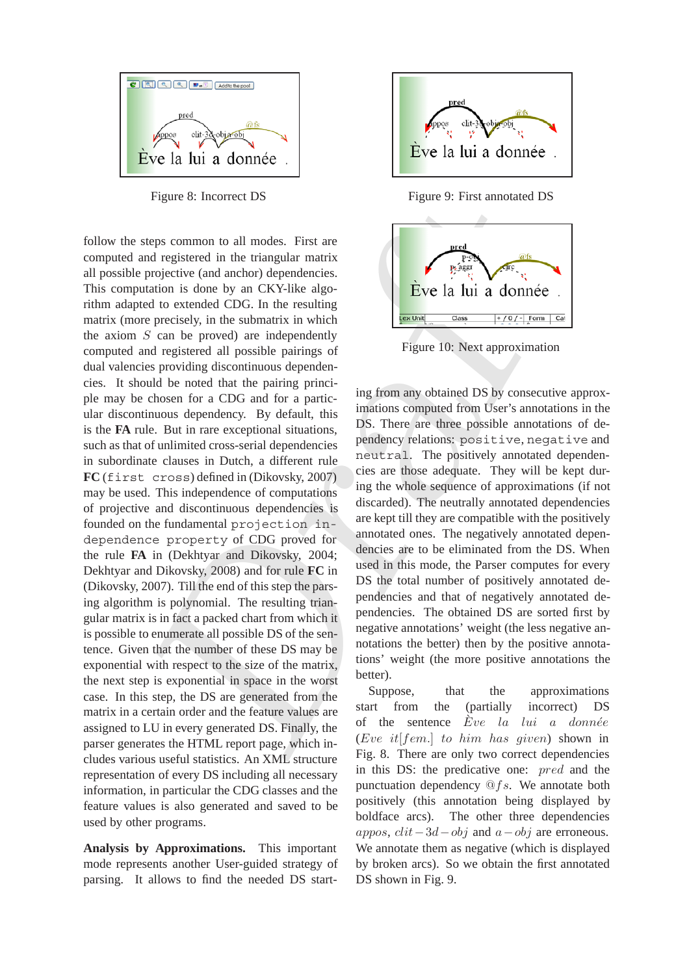

Figure 8: Incorrect DS

Figure 8: Incorrect DS<br>
Higure 9: First amondate DS<br>
Higure 9: First amondate DS<br>
Higure 9: First amondate DS<br>
respective (and anchor) dependencies.<br>
Include CDG. In the ensuling matrix<br>
and registered in the first mappin follow the steps common to all modes. First are computed and registered in the triangular matrix all possible projective (and anchor) dependencies. This computation is done by an CKY-like algorithm adapted to extended CDG. In the resulting matrix (more precisely, in the submatrix in which the axiom  $S$  can be proved) are independently computed and registered all possible pairings of dual valencies providing discontinuous dependencies. It should be noted that the pairing principle may be chosen for a CDG and for a particular discontinuous dependency. By default, this is the **FA** rule. But in rare exceptional situations, such as that of unlimited cross-serial dependencies in subordinate clauses in Dutch, a different rule **FC** (first cross) defined in (Dikovsky, 2007) may be used. This independence of computations of projective and discontinuous dependencies is founded on the fundamental projection independence property of CDG proved for the rule **FA** in (Dekhtyar and Dikovsky, 2004; Dekhtyar and Dikovsky, 2008) and for rule **FC** in (Dikovsky, 2007). Till the end of this step the parsing algorithm is polynomial. The resulting triangular matrix is in fact a packed chart from which it is possible to enumerate all possible DS of the sentence. Given that the number of these DS may be exponential with respect to the size of the matrix, the next step is exponential in space in the worst case. In this step, the DS are generated from the matrix in a certain order and the feature values are assigned to LU in every generated DS. Finally, the parser generates the HTML report page, which includes various useful statistics. An XML structure representation of every DS including all necessary information, in particular the CDG classes and the feature values is also generated and saved to be used by other programs.

**Analysis by Approximations.** This important mode represents another User-guided strategy of parsing. It allows to find the needed DS start-



Figure 9: First annotated DS



Figure 10: Next approximation

ing from any obtained DS by consecutive approximations computed from User's annotations in the DS. There are three possible annotations of dependency relations: positive, negative and neutral. The positively annotated dependencies are those adequate. They will be kept during the whole sequence of approximations (if not discarded). The neutrally annotated dependencies are kept till they are compatible with the positively annotated ones. The negatively annotated dependencies are to be eliminated from the DS. When used in this mode, the Parser computes for every DS the total number of positively annotated dependencies and that of negatively annotated dependencies. The obtained DS are sorted first by negative annotations' weight (the less negative annotations the better) then by the positive annotations' weight (the more positive annotations the better).

Suppose, that the approximations start from the (partially incorrect) DS of the sentence  $\dot{E}ve$  la lui a donnée (Eve it  $[$ fem. $]$  to him has given) shown in Fig. 8. There are only two correct dependencies in this DS: the predicative one: pred and the punctuation dependency  $@fs$ . We annotate both positively (this annotation being displayed by boldface arcs). The other three dependencies appos,  $clit-3d-obj$  and  $a-obj$  are erroneous. We annotate them as negative (which is displayed by broken arcs). So we obtain the first annotated DS shown in Fig. 9.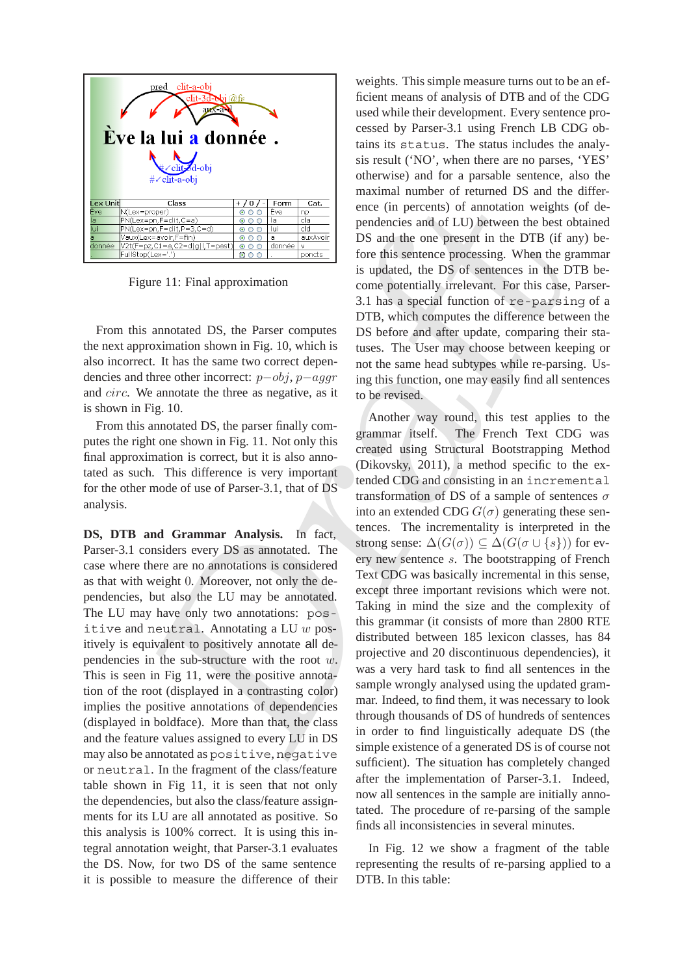| pred clit-a-obj<br>$clit-3d$ -obj $@fs$<br>$ax^2$<br>Eve la lui a donnée.<br>t∠clit→d-obj<br>#∠clit-a-obj |                                |               |        |          |  |  |  |  |  |
|-----------------------------------------------------------------------------------------------------------|--------------------------------|---------------|--------|----------|--|--|--|--|--|
| ex Unit                                                                                                   | Class                          | $\pm$         | Form   | Cat.     |  |  |  |  |  |
| Eve.                                                                                                      | N(Lex=proper)                  |               | Ève    | np       |  |  |  |  |  |
| la                                                                                                        | PN(Lex=pn,F=clit,C=a)          | G             | la     | cla      |  |  |  |  |  |
| lui                                                                                                       | PN(Lex=pn,F=clit,P=3,C=d)      | ◉             | lui    | cld      |  |  |  |  |  |
|                                                                                                           | Vaux(Lex=avoir,F=fin)          | ◉             | a      | auxAvoir |  |  |  |  |  |
| donnée                                                                                                    | V2t(F=pz,C1=a,C2=d g l,T=past) | $\circledast$ | donnée | v        |  |  |  |  |  |
|                                                                                                           | FullStop(Lex='.')              | ۰             |        | poncts   |  |  |  |  |  |

Figure 11: Final approximation

From this annotated DS, the Parser computes the next approximation shown in Fig. 10, which is also incorrect. It has the same two correct dependencies and three other incorrect:  $p - obj$ ,  $p - a ggr$ and circ. We annotate the three as negative, as it is shown in Fig. 10.

From this annotated DS, the parser finally computes the right one shown in Fig. 11. Not only this final approximation is correct, but it is also annotated as such. This difference is very important for the other mode of use of Parser-3.1, that of DS analysis.

**DS, DTB and Grammar Analysis.** In fact, Parser-3.1 considers every DS as annotated. The case where there are no annotations is considered as that with weight 0. Moreover, not only the dependencies, but also the LU may be annotated. The LU may have only two annotations: positive and neutral. Annotating a LU  $w$  positively is equivalent to positively annotate all dependencies in the sub-structure with the root  $w$ . This is seen in Fig 11, were the positive annotation of the root (displayed in a contrasting color) implies the positive annotations of dependencies (displayed in boldface). More than that, the class and the feature values assigned to every LU in DS may also be annotated as positive, negative or neutral. In the fragment of the class/feature table shown in Fig 11, it is seen that not only the dependencies, but also the class/feature assignments for its LU are all annotated as positive. So this analysis is 100% correct. It is using this integral annotation weight, that Parser-3.1 evaluates the DS. Now, for two DS of the same sentence it is possible to measure the difference of their weights. This simple measure turns out to be an efficient means of analysis of DTB and of the CDG used while their development. Every sentence processed by Parser-3.1 using French LB CDG obtains its status. The status includes the analysis result ('NO', when there are no parses, 'YES' otherwise) and for a parsable sentence, also the maximal number of returned DS and the difference (in percents) of annotation weights (of dependencies and of LU) between the best obtained DS and the one present in the DTB (if any) before this sentence processing. When the grammar is updated, the DS of sentences in the DTB become potentially irrelevant. For this case, Parser-3.1 has a special function of re-parsing of a DTB, which computes the difference between the DS before and after update, comparing their statuses. The User may choose between keeping or not the same head subtypes while re-parsing. Using this function, one may easily find all sentences to be revised.

 $\frac{1}{60.812 \times 10^{-100}} \times \frac{1}{10.812 \times 10^{-100}} \times \frac{1}{10.812 \times 10^{-100}} \times \frac{1}{10.812 \times 10^{-100}} \times \frac{1}{10.812 \times 10^{-100}} \times \frac{1}{10.812 \times 10^{-100}} \times \frac{1}{10.812 \times 10^{-100}} \times \frac{1}{10.812 \times 10^{-100}} \times \frac{1}{10.812 \times 10^{-100}} \times \frac{1}{10.812 \times$ Another way round, this test applies to the grammar itself. The French Text CDG was created using Structural Bootstrapping Method (Dikovsky, 2011), a method specific to the extended CDG and consisting in an incremental transformation of DS of a sample of sentences  $\sigma$ into an extended CDG  $G(\sigma)$  generating these sentences. The incrementality is interpreted in the strong sense:  $\Delta(G(\sigma)) \subseteq \Delta(G(\sigma \cup \{s\}))$  for every new sentence s. The bootstrapping of French Text CDG was basically incremental in this sense, except three important revisions which were not. Taking in mind the size and the complexity of this grammar (it consists of more than 2800 RTE distributed between 185 lexicon classes, has 84 projective and 20 discontinuous dependencies), it was a very hard task to find all sentences in the sample wrongly analysed using the updated grammar. Indeed, to find them, it was necessary to look through thousands of DS of hundreds of sentences in order to find linguistically adequate DS (the simple existence of a generated DS is of course not sufficient). The situation has completely changed after the implementation of Parser-3.1. Indeed, now all sentences in the sample are initially annotated. The procedure of re-parsing of the sample finds all inconsistencies in several minutes.

> In Fig. 12 we show a fragment of the table representing the results of re-parsing applied to a DTB. In this table: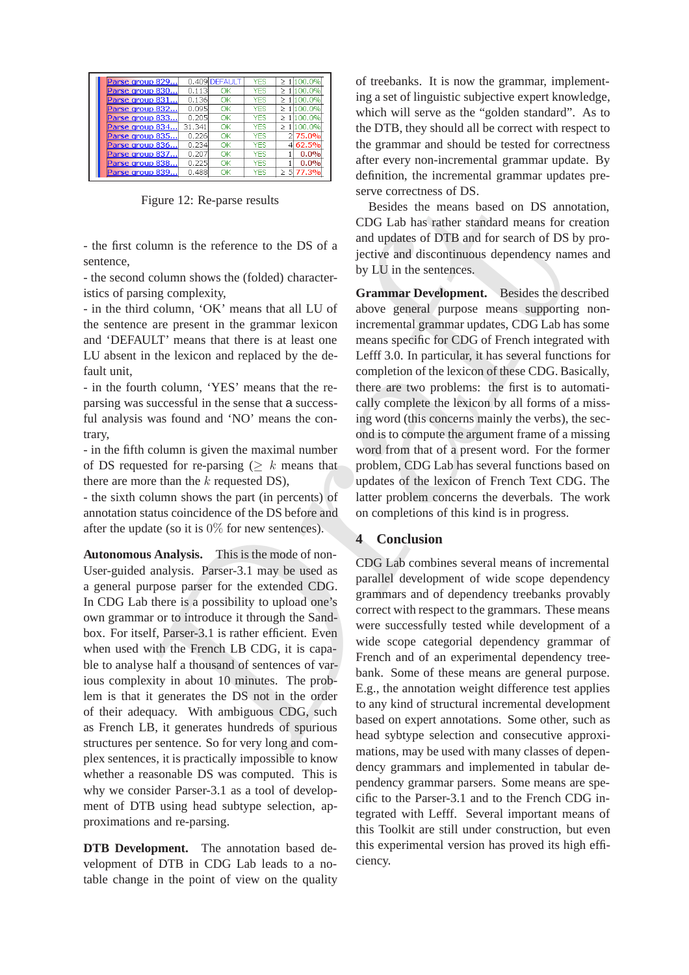| Parse group 829        |        | 0.409 DEFAULT | <b>YES</b> |    | 100.0%  |
|------------------------|--------|---------------|------------|----|---------|
| <u>Parse group 830</u> | 0.113  | Πk            | YES        |    |         |
| Parse group 831        | 0.136  | Οk            | YES        |    |         |
| Parse group 832        | 0.095  | Ok            | YFS        |    | 100.0%  |
| Parse group 833…       | 0.205  | ΩK            | YFS        | ⋗  | 00.0%   |
| Parse group 834        | 31.341 | ОK            | <b>YFS</b> |    | በበ በ%   |
| Parse group 835        | 0.226  | ОK            | YES        |    | 75.0%   |
| Parse group 836        | 0.234  | Οk            | YFS        |    | 62.5%   |
| Parse group 837        | 0.207  | Οk            | YES        |    | $0.0\%$ |
| <u>arse group 838</u>  | 0.225  | Ωk            | YES        |    | 0.0%    |
| Parse group 839        | 0.488  | Ωk            | YES        | 2. | 77.3%   |

Figure 12: Re-parse results

- the first column is the reference to the DS of a sentence,

- the second column shows the (folded) characteristics of parsing complexity,

- in the third column, 'OK' means that all LU of the sentence are present in the grammar lexicon and 'DEFAULT' means that there is at least one LU absent in the lexicon and replaced by the default unit,

- in the fourth column, 'YES' means that the reparsing was successful in the sense that a successful analysis was found and 'NO' means the contrary,

- in the fifth column is given the maximal number of DS requested for re-parsing ( $\geq k$  means that there are more than the  $k$  requested DS),

- the sixth column shows the part (in percents) of annotation status coincidence of the DS before and after the update (so it is  $0\%$  for new sentences).

**Autonomous Analysis.** This is the mode of non-User-guided analysis. Parser-3.1 may be used as a general purpose parser for the extended CDG. In CDG Lab there is a possibility to upload one's own grammar or to introduce it through the Sandbox. For itself, Parser-3.1 is rather efficient. Even when used with the French LB CDG, it is capable to analyse half a thousand of sentences of various complexity in about 10 minutes. The problem is that it generates the DS not in the order of their adequacy. With ambiguous CDG, such as French LB, it generates hundreds of spurious structures per sentence. So for very long and complex sentences, it is practically impossible to know whether a reasonable DS was computed. This is why we consider Parser-3.1 as a tool of development of DTB using head subtype selection, approximations and re-parsing.

**DTB Development.** The annotation based development of DTB in CDG Lab leads to a notable change in the point of view on the quality of treebanks. It is now the grammar, implementing a set of linguistic subjective expert knowledge, which will serve as the "golden standard". As to the DTB, they should all be correct with respect to the grammar and should be tested for correctness after every non-incremental grammar update. By definition, the incremental grammar updates preserve correctness of DS.

Besides the means based on DS annotation, CDG Lab has rather standard means for creation and updates of DTB and for search of DS by projective and discontinuous dependency names and by LU in the sentences.

Figure 12: Re-parse results<br>
Checkides the means based on DS annother and CDG Lab has rather standard means for<br>
Checkides the means of a distantined means for exact of DS<br>
I column shows the (olded) character-<br>
WLU in th **Grammar Development.** Besides the described above general purpose means supporting nonincremental grammar updates, CDG Lab has some means specific for CDG of French integrated with Lefff 3.0. In particular, it has several functions for completion of the lexicon of these CDG. Basically, there are two problems: the first is to automatically complete the lexicon by all forms of a missing word (this concerns mainly the verbs), the second is to compute the argument frame of a missing word from that of a present word. For the former problem, CDG Lab has several functions based on updates of the lexicon of French Text CDG. The latter problem concerns the deverbals. The work on completions of this kind is in progress.

## **4 Conclusion**

CDG Lab combines several means of incremental parallel development of wide scope dependency grammars and of dependency treebanks provably correct with respect to the grammars. These means were successfully tested while development of a wide scope categorial dependency grammar of French and of an experimental dependency treebank. Some of these means are general purpose. E.g., the annotation weight difference test applies to any kind of structural incremental development based on expert annotations. Some other, such as head sybtype selection and consecutive approximations, may be used with many classes of dependency grammars and implemented in tabular dependency grammar parsers. Some means are specific to the Parser-3.1 and to the French CDG integrated with Lefff. Several important means of this Toolkit are still under construction, but even this experimental version has proved its high efficiency.